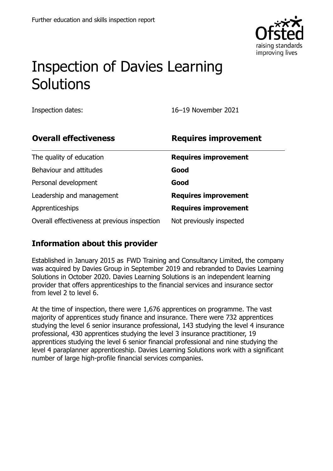

# Inspection of Davies Learning Solutions

Inspection dates: 16–19 November 2021

| <b>Overall effectiveness</b>                 | <b>Requires improvement</b> |
|----------------------------------------------|-----------------------------|
| The quality of education                     | <b>Requires improvement</b> |
| Behaviour and attitudes                      | Good                        |
| Personal development                         | Good                        |
| Leadership and management                    | <b>Requires improvement</b> |
| Apprenticeships                              | <b>Requires improvement</b> |
| Overall effectiveness at previous inspection | Not previously inspected    |

#### **Information about this provider**

Established in January 2015 as FWD Training and Consultancy Limited, the company was acquired by Davies Group in September 2019 and rebranded to Davies Learning Solutions in October 2020. Davies Learning Solutions is an independent learning provider that offers apprenticeships to the financial services and insurance sector from level 2 to level 6.

At the time of inspection, there were 1,676 apprentices on programme. The vast majority of apprentices study finance and insurance. There were 732 apprentices studying the level 6 senior insurance professional, 143 studying the level 4 insurance professional, 430 apprentices studying the level 3 insurance practitioner, 19 apprentices studying the level 6 senior financial professional and nine studying the level 4 paraplanner apprenticeship. Davies Learning Solutions work with a significant number of large high-profile financial services companies.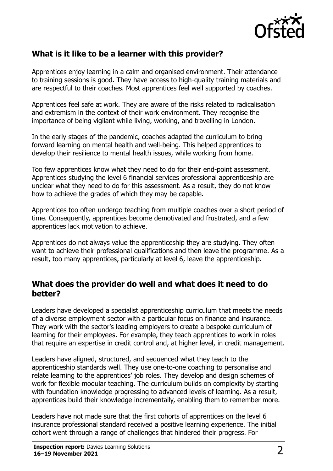

#### **What is it like to be a learner with this provider?**

Apprentices enjoy learning in a calm and organised environment. Their attendance to training sessions is good. They have access to high-quality training materials and are respectful to their coaches. Most apprentices feel well supported by coaches.

Apprentices feel safe at work. They are aware of the risks related to radicalisation and extremism in the context of their work environment. They recognise the importance of being vigilant while living, working, and travelling in London.

In the early stages of the pandemic, coaches adapted the curriculum to bring forward learning on mental health and well-being. This helped apprentices to develop their resilience to mental health issues, while working from home.

Too few apprentices know what they need to do for their end-point assessment. Apprentices studying the level 6 financial services professional apprenticeship are unclear what they need to do for this assessment. As a result, they do not know how to achieve the grades of which they may be capable.

Apprentices too often undergo teaching from multiple coaches over a short period of time. Consequently, apprentices become demotivated and frustrated, and a few apprentices lack motivation to achieve.

Apprentices do not always value the apprenticeship they are studying. They often want to achieve their professional qualifications and then leave the programme. As a result, too many apprentices, particularly at level 6, leave the apprenticeship.

#### **What does the provider do well and what does it need to do better?**

Leaders have developed a specialist apprenticeship curriculum that meets the needs of a diverse employment sector with a particular focus on finance and insurance. They work with the sector's leading employers to create a bespoke curriculum of learning for their employees. For example, they teach apprentices to work in roles that require an expertise in credit control and, at higher level, in credit management.

Leaders have aligned, structured, and sequenced what they teach to the apprenticeship standards well. They use one-to-one coaching to personalise and relate learning to the apprentices' job roles. They develop and design schemes of work for flexible modular teaching. The curriculum builds on complexity by starting with foundation knowledge progressing to advanced levels of learning. As a result, apprentices build their knowledge incrementally, enabling them to remember more.

Leaders have not made sure that the first cohorts of apprentices on the level 6 insurance professional standard received a positive learning experience. The initial cohort went through a range of challenges that hindered their progress. For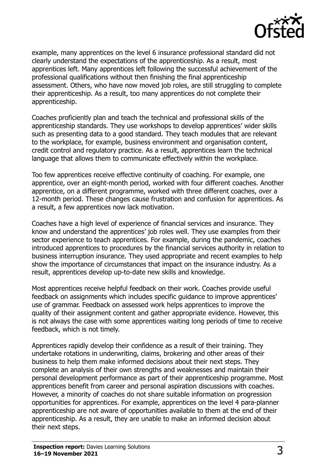

example, many apprentices on the level 6 insurance professional standard did not clearly understand the expectations of the apprenticeship. As a result, most apprentices left. Many apprentices left following the successful achievement of the professional qualifications without then finishing the final apprenticeship assessment. Others, who have now moved job roles, are still struggling to complete their apprenticeship. As a result, too many apprentices do not complete their apprenticeship.

Coaches proficiently plan and teach the technical and professional skills of the apprenticeship standards. They use workshops to develop apprentices' wider skills such as presenting data to a good standard. They teach modules that are relevant to the workplace, for example, business environment and organisation content, credit control and regulatory practice. As a result, apprentices learn the technical language that allows them to communicate effectively within the workplace.

Too few apprentices receive effective continuity of coaching. For example, one apprentice, over an eight-month period, worked with four different coaches. Another apprentice, on a different programme, worked with three different coaches, over a 12-month period. These changes cause frustration and confusion for apprentices. As a result, a few apprentices now lack motivation.

Coaches have a high level of experience of financial services and insurance. They know and understand the apprentices' job roles well. They use examples from their sector experience to teach apprentices. For example, during the pandemic, coaches introduced apprentices to procedures by the financial services authority in relation to business interruption insurance. They used appropriate and recent examples to help show the importance of circumstances that impact on the insurance industry. As a result, apprentices develop up-to-date new skills and knowledge.

Most apprentices receive helpful feedback on their work. Coaches provide useful feedback on assignments which includes specific guidance to improve apprentices' use of grammar. Feedback on assessed work helps apprentices to improve the quality of their assignment content and gather appropriate evidence. However, this is not always the case with some apprentices waiting long periods of time to receive feedback, which is not timely.

Apprentices rapidly develop their confidence as a result of their training. They undertake rotations in underwriting, claims, brokering and other areas of their business to help them make informed decisions about their next steps. They complete an analysis of their own strengths and weaknesses and maintain their personal development performance as part of their apprenticeship programme. Most apprentices benefit from career and personal aspiration discussions with coaches. However, a minority of coaches do not share suitable information on progression opportunities for apprentices. For example, apprentices on the level 4 para-planner apprenticeship are not aware of opportunities available to them at the end of their apprenticeship. As a result, they are unable to make an informed decision about their next steps.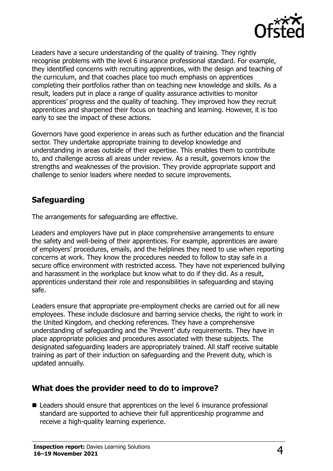

Leaders have a secure understanding of the quality of training. They rightly recognise problems with the level 6 insurance professional standard. For example, they identified concerns with recruiting apprentices, with the design and teaching of the curriculum, and that coaches place too much emphasis on apprentices completing their portfolios rather than on teaching new knowledge and skills. As a result, leaders put in place a range of quality assurance activities to monitor apprentices' progress and the quality of teaching. They improved how they recruit apprentices and sharpened their focus on teaching and learning. However, it is too early to see the impact of these actions.

Governors have good experience in areas such as further education and the financial sector. They undertake appropriate training to develop knowledge and understanding in areas outside of their expertise. This enables them to contribute to, and challenge across all areas under review. As a result, governors know the strengths and weaknesses of the provision. They provide appropriate support and challenge to senior leaders where needed to secure improvements.

#### **Safeguarding**

The arrangements for safeguarding are effective.

Leaders and employers have put in place comprehensive arrangements to ensure the safety and well-being of their apprentices. For example, apprentices are aware of employers' procedures, emails, and the helplines they need to use when reporting concerns at work. They know the procedures needed to follow to stay safe in a secure office environment with restricted access. They have not experienced bullying and harassment in the workplace but know what to do if they did. As a result, apprentices understand their role and responsibilities in safeguarding and staying safe.

Leaders ensure that appropriate pre-employment checks are carried out for all new employees. These include disclosure and barring service checks, the right to work in the United Kingdom, and checking references. They have a comprehensive understanding of safeguarding and the 'Prevent' duty requirements. They have in place appropriate policies and procedures associated with these subjects. The designated safeguarding leaders are appropriately trained. All staff receive suitable training as part of their induction on safeguarding and the Prevent duty, which is updated annually.

#### **What does the provider need to do to improve?**

■ Leaders should ensure that apprentices on the level 6 insurance professional standard are supported to achieve their full apprenticeship programme and receive a high-quality learning experience.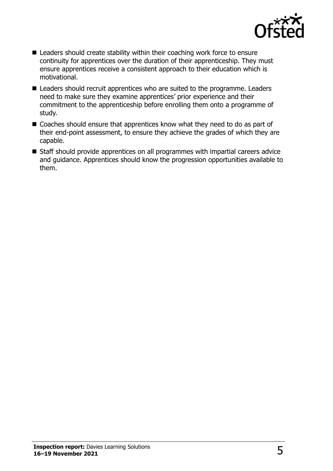

- Leaders should create stability within their coaching work force to ensure continuity for apprentices over the duration of their apprenticeship. They must ensure apprentices receive a consistent approach to their education which is motivational.
- Leaders should recruit apprentices who are suited to the programme. Leaders need to make sure they examine apprentices' prior experience and their commitment to the apprenticeship before enrolling them onto a programme of study.
- Coaches should ensure that apprentices know what they need to do as part of their end-point assessment, to ensure they achieve the grades of which they are capable.
- Staff should provide apprentices on all programmes with impartial careers advice and guidance. Apprentices should know the progression opportunities available to them.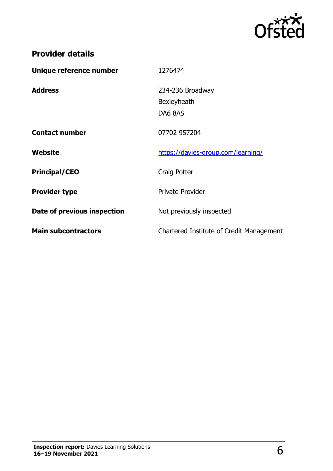

## **Provider details**

| Unique reference number     | 1276474                                    |
|-----------------------------|--------------------------------------------|
| <b>Address</b>              | 234-236 Broadway<br>Bexleyheath<br>DA6 8AS |
| <b>Contact number</b>       | 07702 957204                               |
| Website                     | https://davies-group.com/learning/         |
| <b>Principal/CEO</b>        | Craig Potter                               |
| <b>Provider type</b>        | <b>Private Provider</b>                    |
| Date of previous inspection | Not previously inspected                   |
| <b>Main subcontractors</b>  | Chartered Institute of Credit Management   |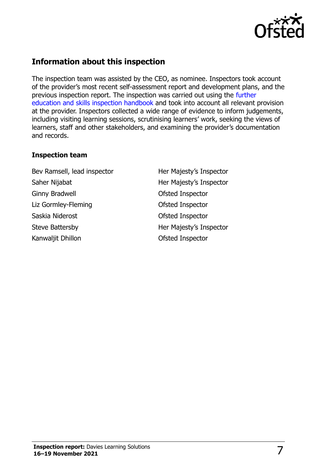

### **Information about this inspection**

The inspection team was assisted by the CEO, as nominee. Inspectors took account of the provider's most recent self-assessment report and development plans, and the previous inspection report. The inspection was carried out using the [further](http://www.gov.uk/government/publications/further-education-and-skills-inspection-handbook-eif)  [education and skills inspection handbook](http://www.gov.uk/government/publications/further-education-and-skills-inspection-handbook-eif) and took into account all relevant provision at the provider. Inspectors collected a wide range of evidence to inform judgements, including visiting learning sessions, scrutinising learners' work, seeking the views of learners, staff and other stakeholders, and examining the provider's documentation and records.

#### **Inspection team**

Bev Ramsell, lead inspector **Her Majesty's Inspector** Saher Nijabat **Her Majesty's Inspector** Ginny Bradwell **Ginny Bradwell Constant Constant Constant Constant Constant Constant Constant Constant Constant Constant Constant Constant Constant Constant Constant Constant Constant Constant Constant Constant Constant** Liz Gormley-Fleming and Ofsted Inspector Saskia Niderost **Case Contract Contract Contract Contract Contract Contract Contract Contract Contract Contract Contract Contract Contract Contract Contract Contract Contract Contract Contract Contract Contract Contract Co** Steve Battersby **Her Majesty's Inspector** Kanwaljit Dhillon **Canadia Constructs** Construction Of Sted Inspector